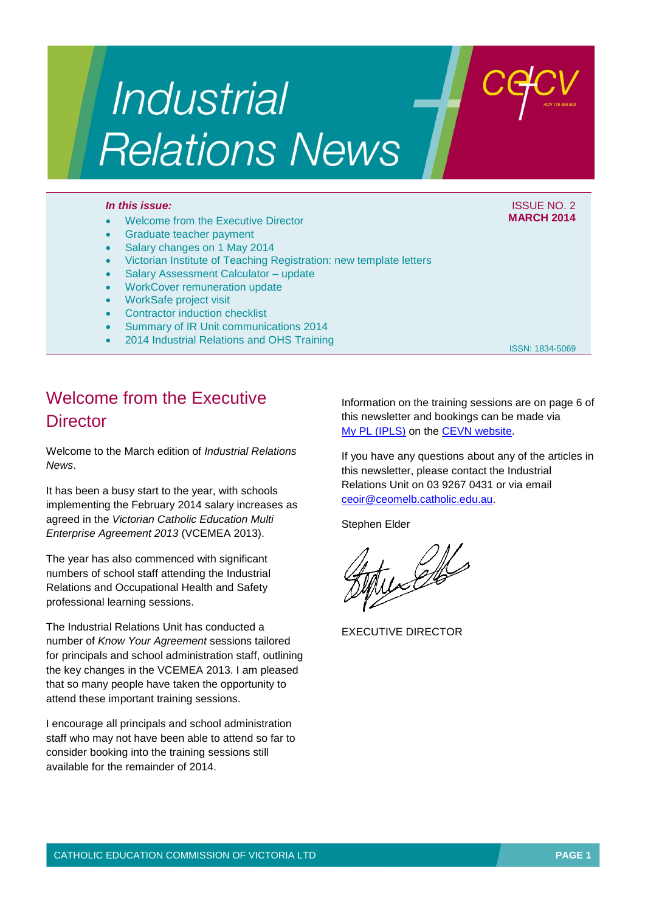# Industrial **Relations News**

#### *In this issue:* ISSUE NO. 2

- Welcome from the Executive Director
- Graduate teacher payment
- Salary changes on 1 May 2014
- Victorian Institute of Teaching Registration: new template letters
- Salary Assessment Calculator update
- WorkCover remuneration update
- WorkSafe project visit
- Contractor induction checklist
- Summary of IR Unit communications 2014
- 2014 Industrial Relations and OHS Training

ISSN: 1834-5069

**MARCH 2014**

# Welcome from the Executive **Director**

Welcome to the March edition of *Industrial Relations News*.

It has been a busy start to the year, with schools implementing the February 2014 salary increases as agreed in the *Victorian Catholic Education Multi Enterprise Agreement 2013* (VCEMEA 2013).

The year has also commenced with significant numbers of school staff attending the Industrial Relations and Occupational Health and Safety professional learning sessions.

The Industrial Relations Unit has conducted a number of *Know Your Agreement* sessions tailored for principals and school administration staff, outlining the key changes in the VCEMEA 2013. I am pleased that so many people have taken the opportunity to attend these important training sessions.

I encourage all principals and school administration staff who may not have been able to attend so far to consider booking into the training sessions still available for the remainder of 2014.

Information on the training sessions are on page 6 of this newsletter and bookings can be made via [My PL \(IPLS\)](http://cevn.cecv.catholic.edu.au/ProfessionalLearning.aspx?id=7160) on the [CEVN website.](http://cevn.cecv.catholic.edu.au/cevnlogin.aspx)

If you have any questions about any of the articles in this newsletter, please contact the Industrial Relations Unit on 03 9267 0431 or via email [ceoir@ceomelb.catholic.edu.au.](mailto:ceoir@ceomelb.catholic.edu.au)

Stephen Elder

wells

EXECUTIVE DIRECTOR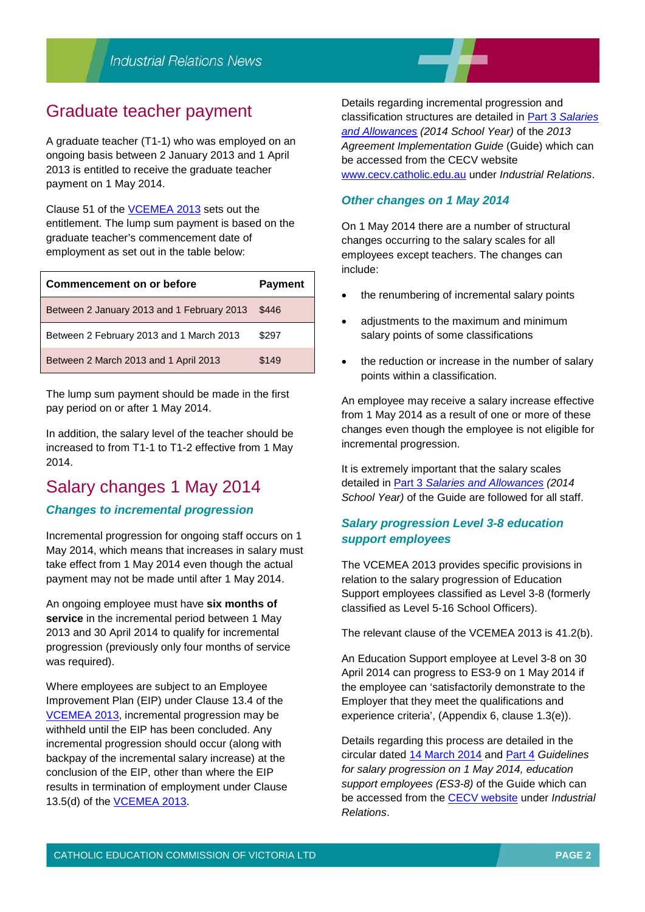## Graduate teacher payment

A graduate teacher (T1-1) who was employed on an ongoing basis between 2 January 2013 and 1 April 2013 is entitled to receive the graduate teacher payment on 1 May 2014.

Clause 51 of the [VCEMEA 2013](http://web.cecv.catholic.edu.au/vcsa/Agreement_2013/VCEMEA_2013.pdf) sets out the entitlement. The lump sum payment is based on the graduate teacher's commencement date of employment as set out in the table below:

| <b>Commencement on or before</b>           | <b>Payment</b> |
|--------------------------------------------|----------------|
| Between 2 January 2013 and 1 February 2013 | \$446          |
| Between 2 February 2013 and 1 March 2013   | \$297          |
| Between 2 March 2013 and 1 April 2013      | \$149          |

The lump sum payment should be made in the first pay period on or after 1 May 2014.

In addition, the salary level of the teacher should be increased to from T1-1 to T1-2 effective from 1 May 2014.

## Salary changes 1 May 2014 *Changes to incremental progression*

Incremental progression for ongoing staff occurs on 1 May 2014, which means that increases in salary must take effect from 1 May 2014 even though the actual payment may not be made until after 1 May 2014.

An ongoing employee must have **six months of service** in the incremental period between 1 May 2013 and 30 April 2014 to qualify for incremental progression (previously only four months of service was required).

Where employees are subject to an Employee Improvement Plan (EIP) under Clause 13.4 of the [VCEMEA 2013,](http://web.cecv.catholic.edu.au/vcsa/Agreement_2013/VCEMEA_2013.pdf) incremental progression may be withheld until the EIP has been concluded. Any incremental progression should occur (along with backpay of the incremental salary increase) at the conclusion of the EIP, other than where the EIP results in termination of employment under Clause 13.5(d) of the [VCEMEA 2013.](http://web.cecv.catholic.edu.au/vcsa/Agreement_2013/VCEMEA_2013.pdf)

Details regarding incremental progression and classification structures are detailed in Part 3 *[Salaries](http://web.cecv.catholic.edu.au/vcsa/Implementation_Guidelines/Part_3.pdf)  [and Allowances](http://web.cecv.catholic.edu.au/vcsa/Implementation_Guidelines/Part_3.pdf) (2014 School Year)* of the *2013 Agreement Implementation Guide* (Guide) which can be accessed from the CECV website [www.cecv.catholic.edu.au](http://www.cecv.catholic.edu.au/) under *Industrial Relations*.

## *Other changes on 1 May 2014*

On 1 May 2014 there are a number of structural changes occurring to the salary scales for all employees except teachers. The changes can include:

- the renumbering of incremental salary points
- adjustments to the maximum and minimum salary points of some classifications
- the reduction or increase in the number of salary points within a classification.

An employee may receive a salary increase effective from 1 May 2014 as a result of one or more of these changes even though the employee is not eligible for incremental progression.

It is extremely important that the salary scales detailed in Part 3 *[Salaries and Allowances](http://web.cecv.catholic.edu.au/vcsa/Implementation_Guidelines/Part_3.pdf) (2014 School Year)* of the Guide are followed for all staff.

## *Salary progression Level 3-8 education support employees*

The VCEMEA 2013 provides specific provisions in relation to the salary progression of Education Support employees classified as Level 3-8 (formerly classified as Level 5-16 School Officers).

The relevant clause of the VCEMEA 2013 is 41.2(b).

An Education Support employee at Level 3-8 on 30 April 2014 can progress to ES3-9 on 1 May 2014 if the employee can 'satisfactorily demonstrate to the Employer that they meet the qualifications and experience criteria', (Appendix 6, clause 1.3(e)).

Details regarding this process are detailed in the circular dated [14 March 2014](http://cevn.cecv.catholic.edu.au/WorkArea/DownloadAsset.aspx?id=23402) and [Part 4](http://web.cecv.catholic.edu.au/vcsa/Implementation_Guidelines/Part_4.pdf) *Guidelines for salary progression on 1 May 2014, education support employees (ES3-8)* of the Guide which can be accessed from the [CECV website](http://web.cecv.catholic.edu.au/frameset.htm?page=industrial) under *Industrial Relations*.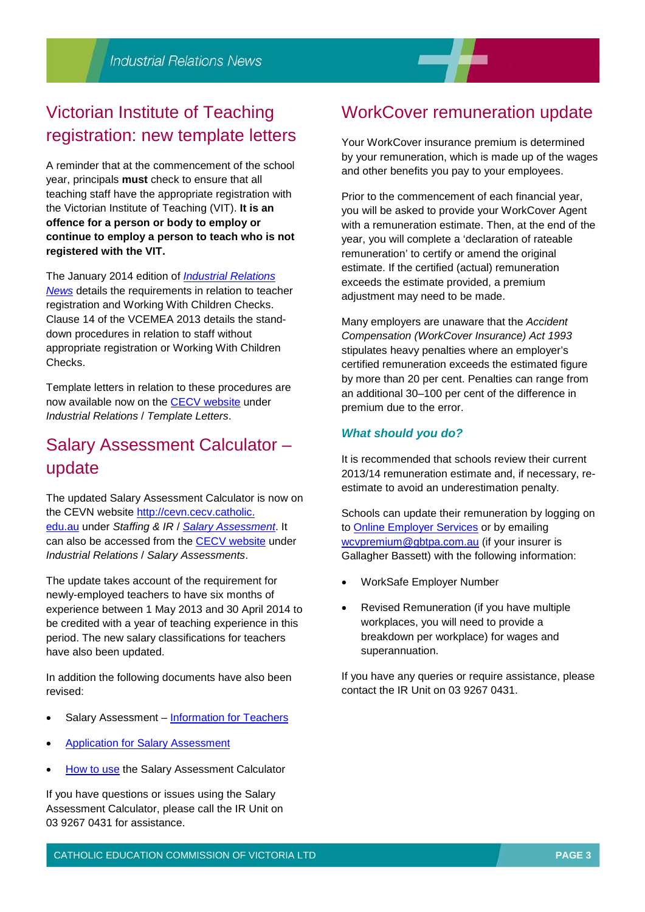## Victorian Institute of Teaching registration: new template letters

A reminder that at the commencement of the school year, principals **must** check to ensure that all teaching staff have the appropriate registration with the Victorian Institute of Teaching (VIT). **It is an offence for a person or body to employ or continue to employ a person to teach who is not registered with the VIT.**

The January 2014 edition of *[Industrial Relations](http://web.cecv.catholic.edu.au/vcsa/newsletters/IR%20News,%20No.%201,%20Jan%202014.pdf)  [News](http://web.cecv.catholic.edu.au/vcsa/newsletters/IR%20News,%20No.%201,%20Jan%202014.pdf)* details the requirements in relation to teacher registration and Working With Children Checks. Clause 14 of the VCEMEA 2013 details the standdown procedures in relation to staff without appropriate registration or Working With Children Checks.

Template letters in relation to these procedures are now available now on the [CECV website](http://web.cecv.catholic.edu.au/vcsa/lettersofappointment/instructions.html) under *Industrial Relations* / *Template Letters*.

## Salary Assessment Calculator – update

The updated Salary Assessment Calculator is now on the CEVN website [http://cevn.cecv.catholic.](http://cevn.cecv.catholic.edu.au/) [edu.au](http://cevn.cecv.catholic.edu.au/) under *Staffing & IR* / *[Salary Assessment](http://cevn.cecv.catholic.edu.au/staffingir/salary_assessment.htm)*. It can also be accessed from the [CECV website](http://web.cecv.catholic.edu.au/vcsa/SalAssess/salaryassmt.htm) under *Industrial Relations* / *Salary Assessments*.

The update takes account of the requirement for newly-employed teachers to have six months of experience between 1 May 2013 and 30 April 2014 to be credited with a year of teaching experience in this period. The new salary classifications for teachers have also been updated.

In addition the following documents have also been revised:

- Salary Assessment [Information for Teachers](http://web.cecv.catholic.edu.au/vcsa/SalAssess/salary_assessment_information.pdf)
- **[Application for Salary Assessment](http://web.cecv.catholic.edu.au/vcsa/SalAssess/salary_assessment_application.pdf)**
- [How to use](http://web.cecv.catholic.edu.au/vcsa/SalAssess/sac_help.pdf) the Salary Assessment Calculator

If you have questions or issues using the Salary Assessment Calculator, please call the IR Unit on 03 9267 0431 for assistance.

## WorkCover remuneration update

Your WorkCover insurance premium is determined by your remuneration, which is made up of the wages and other benefits you pay to your employees.

Prior to the commencement of each financial year, you will be asked to provide your WorkCover Agent with a remuneration estimate. Then, at the end of the year, you will complete a 'declaration of rateable remuneration' to certify or amend the original estimate. If the certified (actual) remuneration exceeds the estimate provided, a premium adjustment may need to be made.

Many employers are unaware that the *Accident Compensation (WorkCover Insurance) Act 1993* stipulates heavy penalties where an employer's certified remuneration exceeds the estimated figure by more than 20 per cent. Penalties can range from an additional 30–100 per cent of the difference in premium due to the error.

### *What should you do?*

It is recommended that schools review their current 2013/14 remuneration estimate and, if necessary, reestimate to avoid an underestimation penalty.

Schools can update their remuneration by logging on to [Online Employer Services](https://www4.worksafe.vic.gov.au/iam/login.do) or by emailing [wcvpremium@gbtpa.com.au](mailto:wcvpremium@gbtpa.com.au) (if your insurer is Gallagher Bassett) with the following information:

- WorkSafe Employer Number
- Revised Remuneration (if you have multiple workplaces, you will need to provide a breakdown per workplace) for wages and superannuation.

If you have any queries or require assistance, please contact the IR Unit on 03 9267 0431.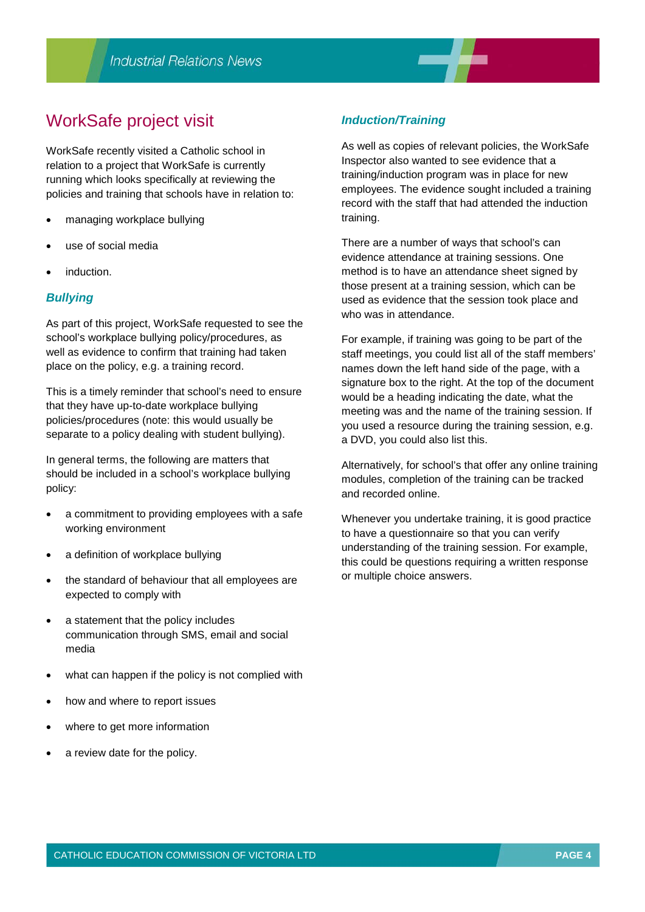## WorkSafe project visit

WorkSafe recently visited a Catholic school in relation to a project that WorkSafe is currently running which looks specifically at reviewing the policies and training that schools have in relation to:

- managing workplace bullying
- use of social media
- induction.

#### *Bullying*

As part of this project, WorkSafe requested to see the school's workplace bullying policy/procedures, as well as evidence to confirm that training had taken place on the policy, e.g. a training record.

This is a timely reminder that school's need to ensure that they have up-to-date workplace bullying policies/procedures (note: this would usually be separate to a policy dealing with student bullying).

In general terms, the following are matters that should be included in a school's workplace bullying policy:

- a commitment to providing employees with a safe working environment
- a definition of workplace bullying
- the standard of behaviour that all employees are expected to comply with
- a statement that the policy includes communication through SMS, email and social media
- what can happen if the policy is not complied with
- how and where to report issues
- where to get more information
- a review date for the policy.

#### *Induction/Training*

As well as copies of relevant policies, the WorkSafe Inspector also wanted to see evidence that a training/induction program was in place for new employees. The evidence sought included a training record with the staff that had attended the induction training.

There are a number of ways that school's can evidence attendance at training sessions. One method is to have an attendance sheet signed by those present at a training session, which can be used as evidence that the session took place and who was in attendance.

For example, if training was going to be part of the staff meetings, you could list all of the staff members' names down the left hand side of the page, with a signature box to the right. At the top of the document would be a heading indicating the date, what the meeting was and the name of the training session. If you used a resource during the training session, e.g. a DVD, you could also list this.

Alternatively, for school's that offer any online training modules, completion of the training can be tracked and recorded online.

Whenever you undertake training, it is good practice to have a questionnaire so that you can verify understanding of the training session. For example, this could be questions requiring a written response or multiple choice answers.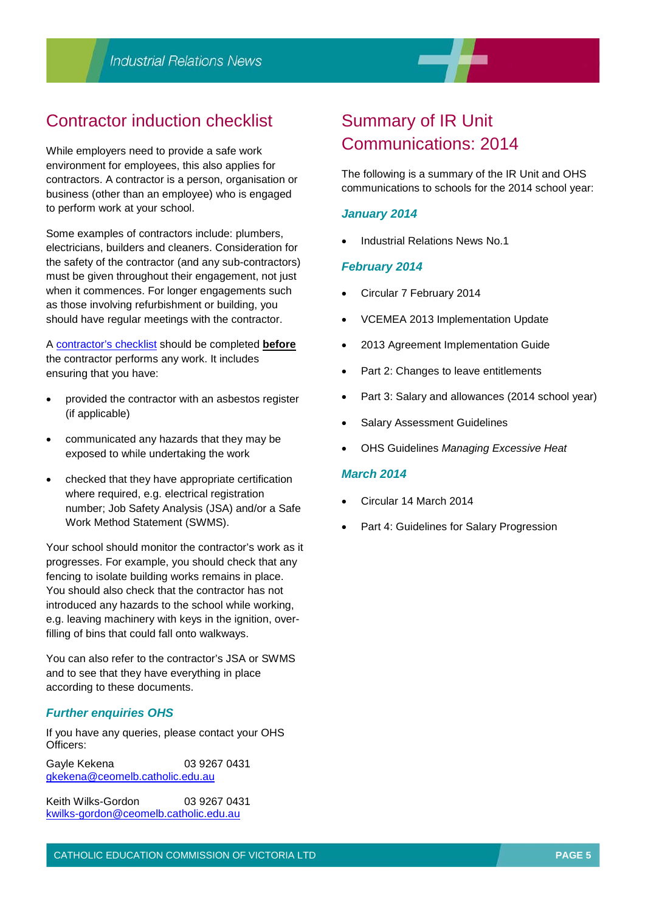## Contractor induction checklist

While employers need to provide a safe work environment for employees, this also applies for contractors. A contractor is a person, organisation or business (other than an employee) who is engaged to perform work at your school.

Some examples of contractors include: plumbers, electricians, builders and cleaners. Consideration for the safety of the contractor (and any sub-contractors) must be given throughout their engagement, not just when it commences. For longer engagements such as those involving refurbishment or building, you should have regular meetings with the contractor.

A [contractor's checklist](http://web.cecv.catholic.edu.au/vcsa/ohands/guidelines/contractor_safety_management.html) should be completed **before** the contractor performs any work. It includes ensuring that you have:

- provided the contractor with an asbestos register (if applicable)
- communicated any hazards that they may be exposed to while undertaking the work
- checked that they have appropriate certification where required, e.g. electrical registration number; Job Safety Analysis (JSA) and/or a Safe Work Method Statement (SWMS).

Your school should monitor the contractor's work as it progresses. For example, you should check that any fencing to isolate building works remains in place. You should also check that the contractor has not introduced any hazards to the school while working, e.g. leaving machinery with keys in the ignition, overfilling of bins that could fall onto walkways.

You can also refer to the contractor's JSA or SWMS and to see that they have everything in place according to these documents.

#### *Further enquiries OHS*

If you have any queries, please contact your OHS Officers:

Gayle Kekena 03 9267 0431 [gkekena@ceomelb.catholic.edu.au](mailto:gkekena@ceomelb.catholic.edu.au)

Keith Wilks-Gordon 03 9267 0431 [kwilks-gordon@ceomelb.catholic.edu.au](mailto:kwilks-gordon@ceomelb.catholic.edu.au)

## Summary of IR Unit Communications: 2014

The following is a summary of the IR Unit and OHS communications to schools for the 2014 school year:

#### *January 2014*

• Industrial Relations News No.1

#### *February 2014*

- Circular 7 February 2014
- VCEMEA 2013 Implementation Update
- 2013 Agreement Implementation Guide
- Part 2: Changes to leave entitlements
- Part 3: Salary and allowances (2014 school year)
- Salary Assessment Guidelines
- OHS Guidelines *Managing Excessive Heat*

#### *March 2014*

- Circular 14 March 2014
- Part 4: Guidelines for Salary Progression